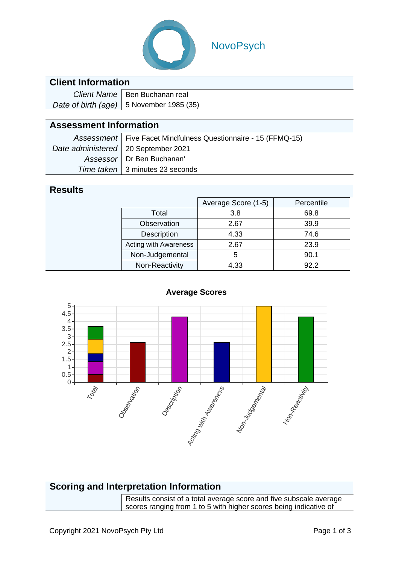

## NovoPsych

### **Client Information**

| Client Name   Ben Buchanan real            |  |  |
|--------------------------------------------|--|--|
| Date of birth (age)   5 November 1985 (35) |  |  |

### **Assessment Information**

|                                       | Assessment   Five Facet Mindfulness Questionnaire - 15 (FFMQ-15) |
|---------------------------------------|------------------------------------------------------------------|
| Date administered   20 September 2021 |                                                                  |
|                                       | Assessor   Dr Ben Buchanan'                                      |
|                                       | Time taken   3 minutes 23 seconds                                |

#### **Results**

|                       | Average Score (1-5) | Percentile |  |
|-----------------------|---------------------|------------|--|
| Total                 | 3.8                 | 69.8       |  |
| Observation           | 2.67                | 39.9       |  |
| Description           | 4.33                | 74.6       |  |
| Acting with Awareness | 2.67                | 23.9       |  |
| Non-Judgemental       | 5                   | 90.1       |  |
| Non-Reactivity        | 4.33                | 92 2       |  |



#### **Average Scores**

### **Scoring and Interpretation Information**

Results consist of a total average score and five subscale average scores ranging from 1 to 5 with higher scores being indicative of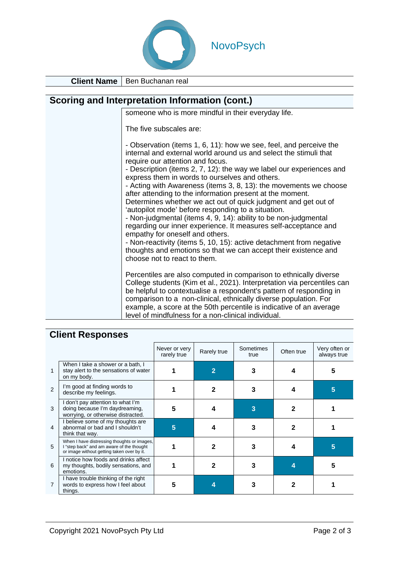

# NovoPsych

**Client Name** Ben Buchanan real

| Scoring and Interpretation Information (cont.) |                                                                                                                                                                                                                                                                                                                                                                                                                                                                                                                                                                                                                                                                                                                                                                                                                                                                                                                    |  |  |  |
|------------------------------------------------|--------------------------------------------------------------------------------------------------------------------------------------------------------------------------------------------------------------------------------------------------------------------------------------------------------------------------------------------------------------------------------------------------------------------------------------------------------------------------------------------------------------------------------------------------------------------------------------------------------------------------------------------------------------------------------------------------------------------------------------------------------------------------------------------------------------------------------------------------------------------------------------------------------------------|--|--|--|
|                                                | someone who is more mindful in their everyday life.                                                                                                                                                                                                                                                                                                                                                                                                                                                                                                                                                                                                                                                                                                                                                                                                                                                                |  |  |  |
|                                                | The five subscales are:                                                                                                                                                                                                                                                                                                                                                                                                                                                                                                                                                                                                                                                                                                                                                                                                                                                                                            |  |  |  |
|                                                | - Observation (items 1, 6, 11): how we see, feel, and perceive the<br>internal and external world around us and select the stimuli that<br>require our attention and focus.<br>- Description (items 2, 7, 12): the way we label our experiences and<br>express them in words to ourselves and others.<br>- Acting with Awareness (items 3, 8, 13): the movements we choose<br>after attending to the information present at the moment.<br>Determines whether we act out of quick judgment and get out of<br>'autopilot mode' before responding to a situation.<br>- Non-judgmental (items 4, 9, 14): ability to be non-judgmental<br>regarding our inner experience. It measures self-acceptance and<br>empathy for oneself and others.<br>- Non-reactivity (items 5, 10, 15): active detachment from negative<br>thoughts and emotions so that we can accept their existence and<br>choose not to react to them. |  |  |  |
|                                                | Percentiles are also computed in comparison to ethnically diverse<br>College students (Kim et al., 2021). Interpretation via percentiles can<br>be helpful to contextualise a respondent's pattern of responding in<br>comparison to a non-clinical, ethnically diverse population. For<br>example, a score at the 50th percentile is indicative of an average<br>level of mindfulness for a non-clinical individual.                                                                                                                                                                                                                                                                                                                                                                                                                                                                                              |  |  |  |

## **Client Responses**

|   |                                                                                                                                        | Never or very<br>rarely true | Rarely true | Sometimes<br>true | Often true | Very often or<br>always true |
|---|----------------------------------------------------------------------------------------------------------------------------------------|------------------------------|-------------|-------------------|------------|------------------------------|
|   | When I take a shower or a bath, I<br>stay alert to the sensations of water<br>on my body.                                              |                              |             |                   |            |                              |
| 2 | I'm good at finding words to<br>describe my feelings.                                                                                  |                              |             |                   |            | 5                            |
| 3 | I don't pay attention to what I'm<br>doing because I'm daydreaming,<br>worrying, or otherwise distracted.                              | 5                            |             | 3                 |            |                              |
| 4 | I believe some of my thoughts are<br>abnormal or bad and I shouldn't<br>think that way.                                                | 5                            |             |                   | 2          |                              |
| 5 | When I have distressing thoughts or images,<br>I "step back" and am aware of the thought<br>or image without getting taken over by it. |                              | 2           |                   |            | 5                            |
| 6 | I notice how foods and drinks affect<br>my thoughts, bodily sensations, and<br>emotions.                                               |                              |             |                   |            |                              |
| 7 | I have trouble thinking of the right<br>words to express how I feel about<br>things.                                                   | 5                            |             |                   |            |                              |